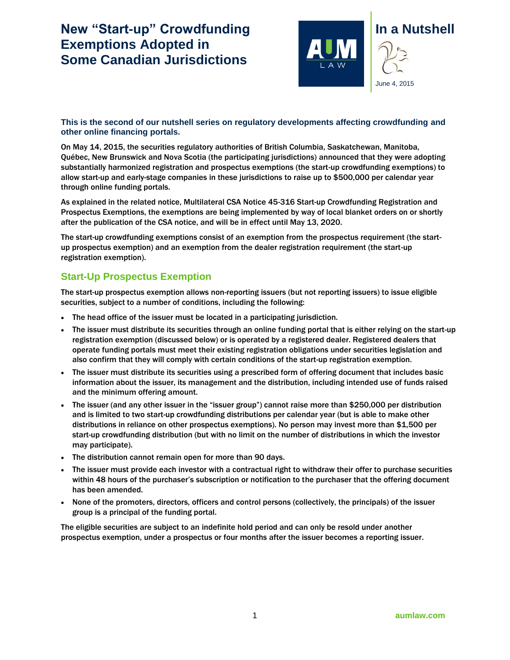## **New "Start-up" Crowdfunding Exemptions Adopted in Some Canadian Jurisdictions**



## **This is the second of our nutshell series on regulatory developments affecting crowdfunding and other online financing portals.**

On May 14, 2015, the securities regulatory authorities of British Columbia, Saskatchewan, Manitoba, Québec, New Brunswick and Nova Scotia (the participating jurisdictions) [announced](https://www.bcsc.bc.ca/45-316_%5bMultilateral_CSA_Notice%5d_05142015) that they were adopting substantially harmonized registration and prospectus exemptions (the start-up crowdfunding exemptions) to allow start-up and early-stage companies in these jurisdictions to raise up to \$500,000 per calendar year through online funding portals.

As explained in the related notice, Multilateral CSA Notice 45-316 Start-up Crowdfunding Registration and Prospectus Exemptions, the exemptions are being implemented by way of local blanket orders on or shortly after the publication of the CSA notice, and will be in effect until May 13, 2020.

The start-up crowdfunding exemptions consist of an exemption from the prospectus requirement (the startup prospectus exemption) and an exemption from the dealer registration requirement (the start-up registration exemption).

## **Start-Up Prospectus Exemption**

The start-up prospectus exemption allows non-reporting issuers (but not reporting issuers) to issue eligible securities, subject to a number of conditions, including the following:

- The head office of the issuer must be located in a participating jurisdiction.
- The issuer must distribute its securities through an online funding portal that is either relying on the start-up registration exemption (discussed below) or is operated by a registered dealer. Registered dealers that operate funding portals must meet their existing registration obligations under securities legislation and also confirm that they will comply with certain conditions of the start-up registration exemption.
- The issuer must distribute its securities using a prescribed form of offering document that includes basic information about the issuer, its management and the distribution, including intended use of funds raised and the minimum offering amount.
- The issuer (and any other issuer in the "issuer group") cannot raise more than \$250,000 per distribution and is limited to two start-up crowdfunding distributions per calendar year (but is able to make other distributions in reliance on other prospectus exemptions). No person may invest more than \$1,500 per start-up crowdfunding distribution (but with no limit on the number of distributions in which the investor may participate).
- The distribution cannot remain open for more than 90 days.
- The issuer must provide each investor with a contractual right to withdraw their offer to purchase securities within 48 hours of the purchaser's subscription or notification to the purchaser that the offering document has been amended.
- None of the promoters, directors, officers and control persons (collectively, the principals) of the issuer group is a principal of the funding portal.

The eligible securities are subject to an indefinite hold period and can only be resold under another prospectus exemption, under a prospectus or four months after the issuer becomes a reporting issuer.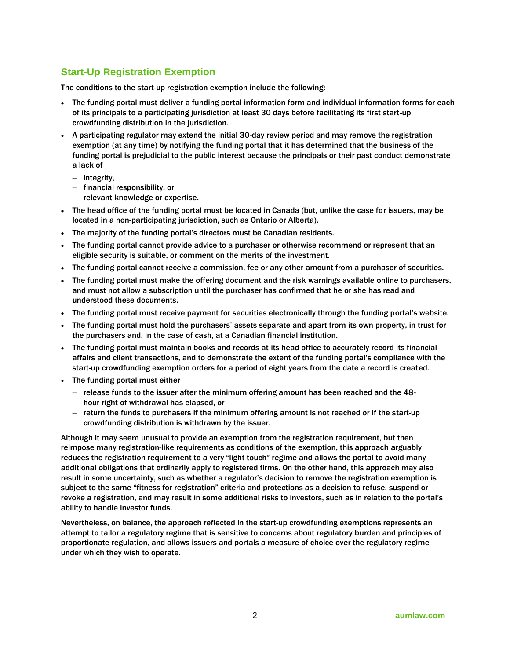## **Start-Up Registration Exemption**

The conditions to the start-up registration exemption include the following:

- The funding portal must deliver a funding portal information form and individual information forms for each of its principals to a participating jurisdiction at least 30 days before facilitating its first start-up crowdfunding distribution in the jurisdiction.
- A participating regulator may extend the initial 30-day review period and may remove the registration exemption (at any time) by notifying the funding portal that it has determined that the business of the funding portal is prejudicial to the public interest because the principals or their past conduct demonstrate a lack of
	- $-$  integrity,
	- $-$  financial responsibility, or
	- $-$  relevant knowledge or expertise.
- The head office of the funding portal must be located in Canada (but, unlike the case for issuers, may be located in a non-participating jurisdiction, such as Ontario or Alberta).
- The majority of the funding portal's directors must be Canadian residents.
- The funding portal cannot provide advice to a purchaser or otherwise recommend or represent that an eligible security is suitable, or comment on the merits of the investment.
- The funding portal cannot receive a commission, fee or any other amount from a purchaser of securities.
- The funding portal must make the offering document and the risk warnings available online to purchasers, and must not allow a subscription until the purchaser has confirmed that he or she has read and understood these documents.
- The funding portal must receive payment for securities electronically through the funding portal's website.
- The funding portal must hold the purchasers' assets separate and apart from its own property, in trust for the purchasers and, in the case of cash, at a Canadian financial institution.
- The funding portal must maintain books and records at its head office to accurately record its financial affairs and client transactions, and to demonstrate the extent of the funding portal's compliance with the start-up crowdfunding exemption orders for a period of eight years from the date a record is created.
- The funding portal must either
	- $-$  release funds to the issuer after the minimum offering amount has been reached and the 48hour right of withdrawal has elapsed, or
	- $-$  return the funds to purchasers if the minimum offering amount is not reached or if the start-up crowdfunding distribution is withdrawn by the issuer.

Although it may seem unusual to provide an exemption from the registration requirement, but then reimpose many registration-like requirements as conditions of the exemption, this approach arguably reduces the registration requirement to a very "light touch" regime and allows the portal to avoid many additional obligations that ordinarily apply to registered firms. On the other hand, this approach may also result in some uncertainty, such as whether a regulator's decision to remove the registration exemption is subject to the same "fitness for registration" criteria and protections as a decision to refuse, suspend or revoke a registration, and may result in some additional risks to investors, such as in relation to the portal's ability to handle investor funds.

Nevertheless, on balance, the approach reflected in the start-up crowdfunding exemptions represents an attempt to tailor a regulatory regime that is sensitive to concerns about regulatory burden and principles of proportionate regulation, and allows issuers and portals a measure of choice over the regulatory regime under which they wish to operate.